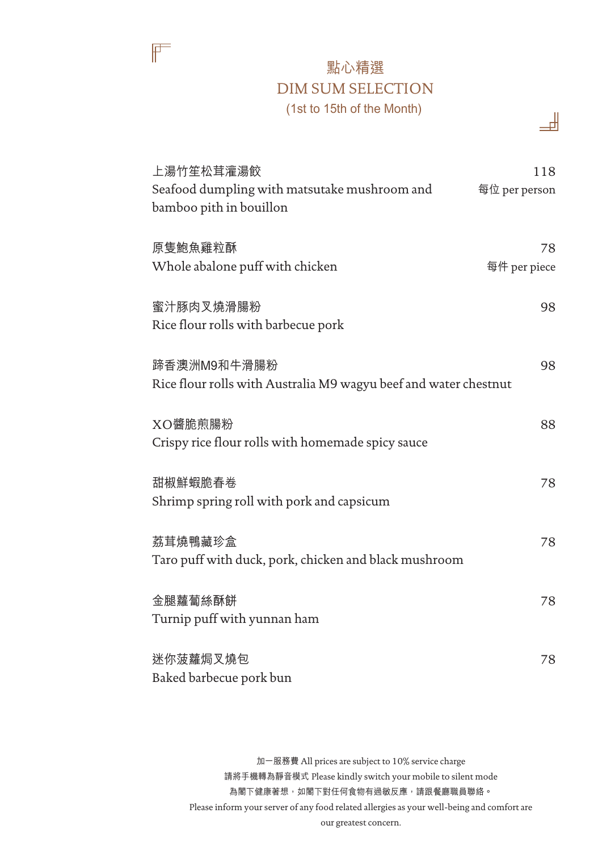## 點心精選 DIM SUM SELECTION (1st to 15th of the Month)

ᆊ

 $\mathbb{F}$ 

| 上湯竹笙松茸灌湯餃<br>Seafood dumpling with matsutake mushroom and<br>bamboo pith in bouillon | 118<br>每位 per person |
|--------------------------------------------------------------------------------------|----------------------|
| 原隻鮑魚雞粒酥<br>Whole abalone puff with chicken                                           | 78<br>每件 per piece   |
| 蜜汁豚肉叉燒滑腸粉<br>Rice flour rolls with barbecue pork                                     | 98                   |
| 蹄香澳洲M9和牛滑腸粉<br>Rice flour rolls with Australia M9 wagyu beef and water chestnut      | 98                   |
| XO醬脆煎腸粉<br>Crispy rice flour rolls with homemade spicy sauce                         | 88                   |
| 甜椒鮮蝦脆春卷<br>Shrimp spring roll with pork and capsicum                                 | 78                   |
| 荔茸燒鴨藏珍盒<br>Taro puff with duck, pork, chicken and black mushroom                     | 78                   |
| 金腿蘿蔔絲酥餅<br>Turnip puff with yunnan ham                                               | 78                   |
| 迷你菠蘿焗叉燒包<br>Baked barbecue pork bun                                                  | 78                   |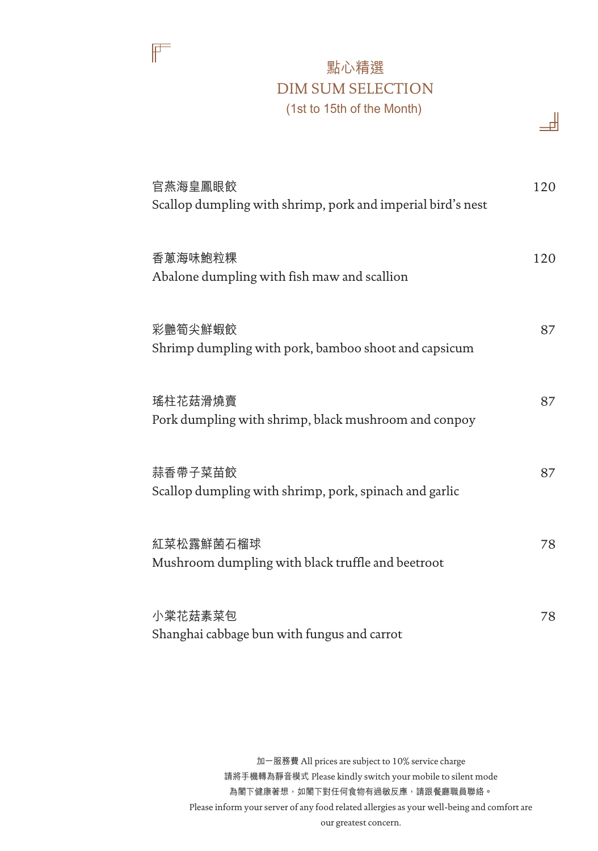## 點心精選 DIM SUM SELECTION (1st to 15th of the Month)

ᆊ

 $\mathbb{F}$ 

| 官燕海皇鳳眼餃<br>Scallop dumpling with shrimp, pork and imperial bird's nest | 120 |
|------------------------------------------------------------------------|-----|
| 香蔥海味鮑粒粿<br>Abalone dumpling with fish maw and scallion                 | 120 |
| 彩艷筍尖鮮蝦餃<br>Shrimp dumpling with pork, bamboo shoot and capsicum        | 87  |
| 瑤柱花菇滑燒賣<br>Pork dumpling with shrimp, black mushroom and conpoy        | 87  |
| 蒜香帶子菜苗餃<br>Scallop dumpling with shrimp, pork, spinach and garlic      | 87  |
| 紅菜松露鮮菌石榴球<br>Mushroom dumpling with black truffle and beetroot         | 78  |
| 小棠花菇素菜包<br>Shanghai cabbage bun with fungus and carrot                 | 78  |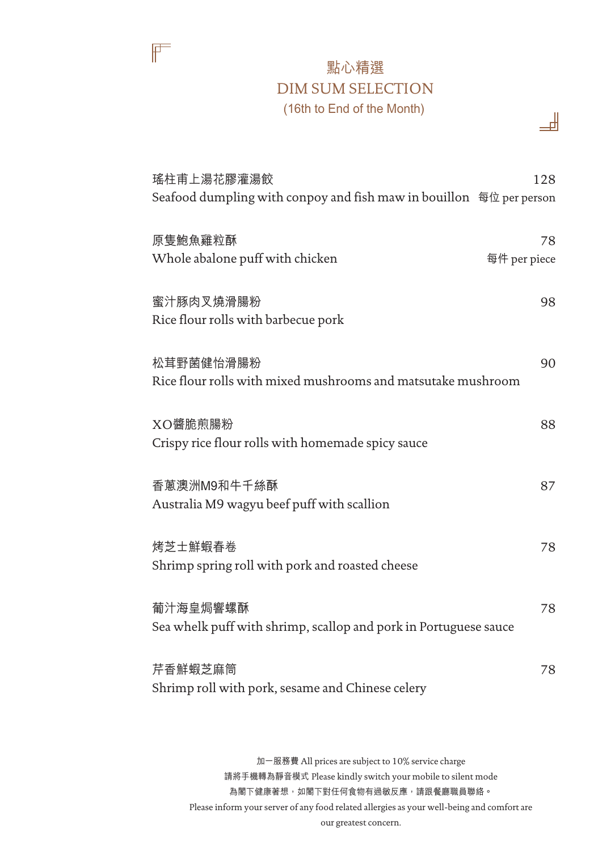## 點心精選 DIM SUM SELECTION (16th to End of the Month)

ᆊ

 $\mathbb{F}$ 

| 瑤柱甫上湯花膠灌湯餃<br>Seafood dumpling with conpoy and fish maw in bouillon 每位 per person | 128                |
|-----------------------------------------------------------------------------------|--------------------|
| 原隻鮑魚雞粒酥<br>Whole abalone puff with chicken                                        | 78<br>每件 per piece |
| 蜜汁豚肉叉燒滑腸粉<br>Rice flour rolls with barbecue pork                                  | 98                 |
| 松茸野菌健怡滑腸粉<br>Rice flour rolls with mixed mushrooms and matsutake mushroom         | 90                 |
| XO醬脆煎腸粉<br>Crispy rice flour rolls with homemade spicy sauce                      | 88                 |
| 香蔥澳洲M9和牛千絲酥<br>Australia M9 wagyu beef puff with scallion                         | 87                 |
| 烤芝士鮮蝦春卷<br>Shrimp spring roll with pork and roasted cheese                        | 78                 |
| 葡汁海皇焗響螺酥<br>Sea whelk puff with shrimp, scallop and pork in Portuguese sauce      | 78                 |
| 芹香鮮蝦芝麻筒<br>Shrimp roll with pork, sesame and Chinese celery                       | 78                 |